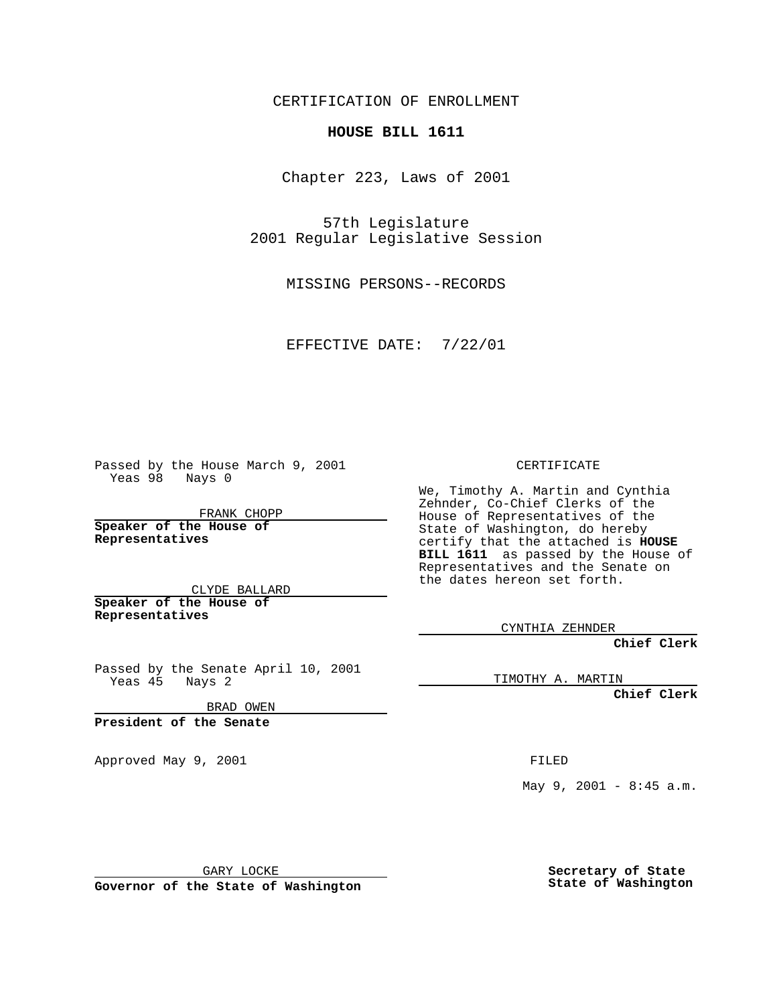CERTIFICATION OF ENROLLMENT

## **HOUSE BILL 1611**

Chapter 223, Laws of 2001

57th Legislature 2001 Regular Legislative Session

MISSING PERSONS--RECORDS

EFFECTIVE DATE: 7/22/01

Passed by the House March 9, 2001 Yeas 98 Nays 0

FRANK CHOPP

**Speaker of the House of Representatives**

CLYDE BALLARD **Speaker of the House of**

**Representatives**

Passed by the Senate April 10, 2001 Yeas 45 Nays 2

BRAD OWEN

**President of the Senate**

Approved May 9, 2001 and the state of the FILED

CERTIFICATE

We, Timothy A. Martin and Cynthia Zehnder, Co-Chief Clerks of the House of Representatives of the State of Washington, do hereby certify that the attached is **HOUSE BILL 1611** as passed by the House of Representatives and the Senate on the dates hereon set forth.

CYNTHIA ZEHNDER

**Chief Clerk**

TIMOTHY A. MARTIN

**Chief Clerk**

May 9, 2001 - 8:45 a.m.

GARY LOCKE

**Governor of the State of Washington**

**Secretary of State State of Washington**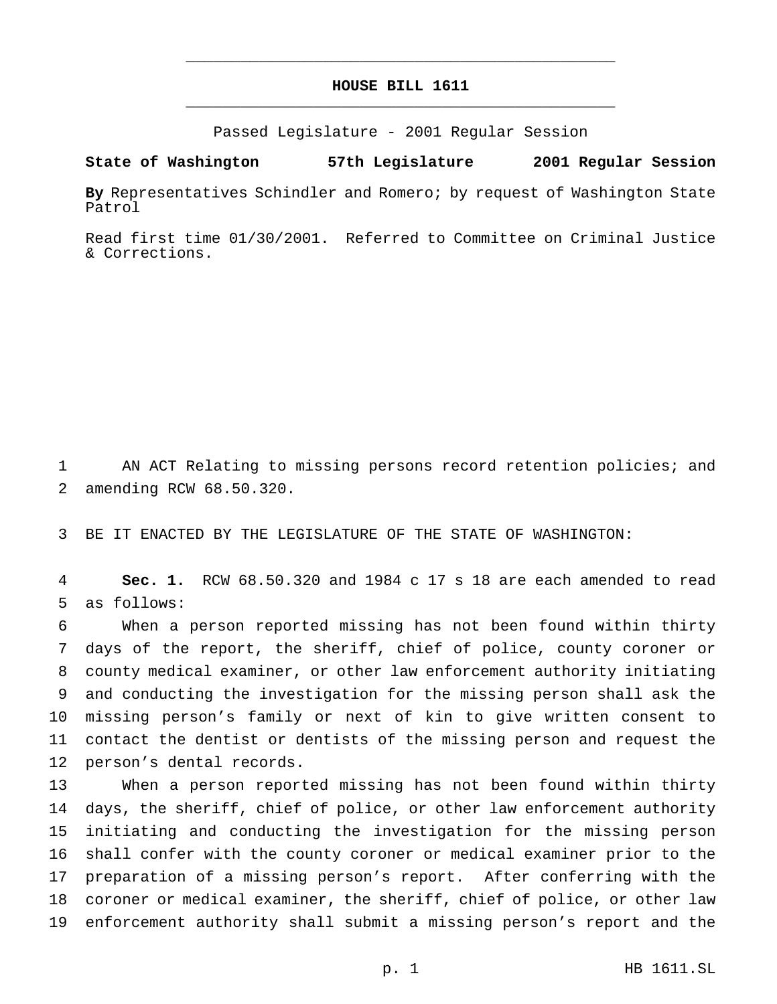## **HOUSE BILL 1611** \_\_\_\_\_\_\_\_\_\_\_\_\_\_\_\_\_\_\_\_\_\_\_\_\_\_\_\_\_\_\_\_\_\_\_\_\_\_\_\_\_\_\_\_\_\_\_

\_\_\_\_\_\_\_\_\_\_\_\_\_\_\_\_\_\_\_\_\_\_\_\_\_\_\_\_\_\_\_\_\_\_\_\_\_\_\_\_\_\_\_\_\_\_\_

Passed Legislature - 2001 Regular Session

## **State of Washington 57th Legislature 2001 Regular Session**

**By** Representatives Schindler and Romero; by request of Washington State Patrol

Read first time 01/30/2001. Referred to Committee on Criminal Justice & Corrections.

 AN ACT Relating to missing persons record retention policies; and amending RCW 68.50.320.

BE IT ENACTED BY THE LEGISLATURE OF THE STATE OF WASHINGTON:

 **Sec. 1.** RCW 68.50.320 and 1984 c 17 s 18 are each amended to read as follows:

 When a person reported missing has not been found within thirty days of the report, the sheriff, chief of police, county coroner or county medical examiner, or other law enforcement authority initiating and conducting the investigation for the missing person shall ask the missing person's family or next of kin to give written consent to contact the dentist or dentists of the missing person and request the person's dental records.

 When a person reported missing has not been found within thirty days, the sheriff, chief of police, or other law enforcement authority initiating and conducting the investigation for the missing person shall confer with the county coroner or medical examiner prior to the preparation of a missing person's report. After conferring with the coroner or medical examiner, the sheriff, chief of police, or other law enforcement authority shall submit a missing person's report and the